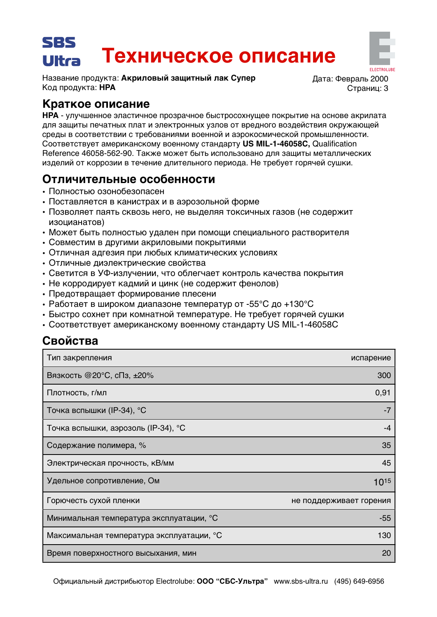# SBS Техническое описание Ultra

Название продукта: Акриловый защитный лак Супер Код продукта: НРА

Лата: Февраль 2000 Страниц: 3

# Краткое описание

НРА - улучшенное эластичное прозрачное быстросохнущее покрытие на основе акрилата для защиты печатных плат и электронных узлов от вредного воздействия окружающей среды в соответствии с требованиями военной и аэрокосмической промышленности. Соответствует американскому военному стандарту US MIL-1-46058C, Qualification Reference 46058-562-90. Также может быть использовано для защиты металлических изделий от коррозии в течение длительного периода. Не требует горячей сушки.

# Отличительные особенности

- Полностью озонобезопасен
- Поставляется в канистрах и в аэрозольной форме
- Позволяет паять сквозь него, не выделяя токсичных газов (не содержит изоцианатов)
- Может быть полностью удален при помощи специального растворителя
- Совместим в другими акриловыми покрытиями
- Отличная адгезия при любых климатических условиях
- Отличные диэлектрические свойства
- Светится в УФ-излучении, что облегчает контроль качества покрытия
- Не корродирует кадмий и цинк (не содержит фенолов)
- Предотвращает формирование плесени
- Работает в широком диапазоне температур от -55°С до +130°С
- Быстро сохнет при комнатной температуре. Не требует горячей сушки
- Соответствует американскому военному стандарту US MIL-1-46058С

# Свойства

| Тип закрепления                           | испарение               |
|-------------------------------------------|-------------------------|
| Вязкость @20°С, сПз, ±20%                 | 300                     |
| Плотность, г/мл                           | 0,91                    |
| Точка вспышки (IP-34), °С                 | -7                      |
| Точка вспышки, аэрозоль (IP-34), °С       | -4                      |
| Содержание полимера, %                    | 35                      |
| Электрическая прочность, кВ/мм            | 45                      |
| Удельное сопротивление, Ом                | 1015                    |
| Горючесть сухой пленки                    | не поддерживает горения |
| Минимальная температура эксплуатации, °С  | $-55$                   |
| Максимальная температура эксплуатации, °С | 130                     |
| Время поверхностного высыхания, мин       | 20                      |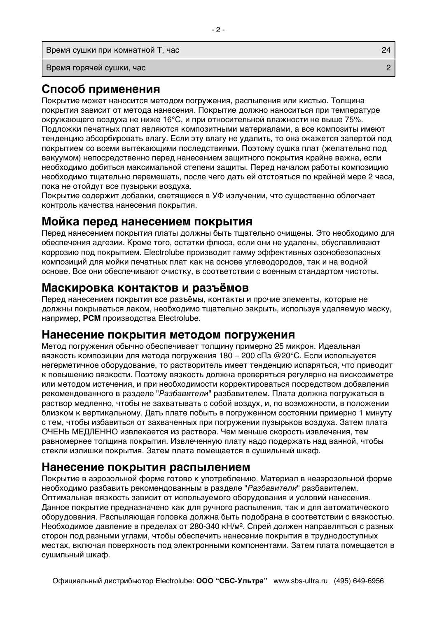Время сушки при комнатной Т, час

Время горячей сушки, час

# Способ применения

Покрытие может наносится методом погружения, распыления или кистью. Толщина покрытия зависит от метода нанесения. Покрытие должно наноситься при температуре окружающего воздуха не ниже 16°С, и при относительной влажности не выше 75%. Подложки печатных плат являются композитными материалами, а все композиты имеют тенденцию абсорбировать влагу. Если эту влагу не удалить, то она окажется запертой под покрытием со всеми вытекающими последствиями. Поэтому сушка плат (желательно под вакуумом) непосредственно перед нанесением защитного покрытия крайне важна, если необходимо добиться максимальной степени защиты. Перед началом работы композицию необходимо тщательно перемешать, после чего дать ей отстояться по крайней мере 2 часа, пока не отойдут все пузырьки воздуха.

Покрытие содержит добавки, светящиеся в УФ излучении, что существенно облегчает контроль качества нанесения покрытия.

#### Мойка перед нанесением покрытия

Перед нанесением покрытия платы должны быть тщательно очищены. Это необходимо для обеспечения адгезии. Кроме того, остатки флюса, если они не удалены, обуславливают коррозию под покрытием. Electrolube производит гамму эффективных озонобезопасных композиций для мойки печатных плат как на основе углеводородов, так и на водной основе. Все они обеспечивают очистку, в соответствии с военным стандартом чистоты.

#### Маскировка контактов и разъёмов

Перед нанесением покрытия все разъёмы, контакты и прочие элементы, которые не должны покрываться лаком, необходимо тщательно закрыть, используя удаляемую маску, например, PCM производства Electrolube.

#### Нанесение покрытия методом погружения

Метод погружения обычно обеспечивает толщину примерно 25 микрон. Идеальная вязкость композиции для метода погружения 180 - 200 сПз @20°С. Если используется негерметичное оборудование, то растворитель имеет тенденцию испаряться, что приводит к повышению вязкости. Поэтому вязкость должна проверяться регулярно на вискозиметре или методом истечения, и при необходимости корректироваться посредством добавления рекомендованного в разделе "Разбавители" разбавителем. Плата должна погружаться в раствор медленно, чтобы не захватывать с собой воздух, и, по возможности, в положении близком к вертикальному. Дать плате побыть в погруженном состоянии примерно 1 минуту с тем, чтобы избавиться от захваченных при погружении пузырьков воздуха. Затем плата ОЧЕНЬ МЕДЛЕННО извлекается из раствора. Чем меньше скорость извлечения, тем равномернее толщина покрытия. Извлеченную плату надо подержать над ванной, чтобы стекли излишки покрытия. Затем плата помещается в сушильный шкаф.

#### Нанесение покрытия распылением

Покрытие в аэрозольной форме готово к употреблению. Материал в неаэрозольной форме необходимо разбавить рекомендованным в разделе "Разбавители" разбавителем. Оптимальная вязкость зависит от используемого оборудования и условий нанесения. Данное покрытие предназначено как для ручного распыления, так и для автоматического оборудования. Распыляющая головка должна быть подобрана в соответствии с вязкостью. Необходимое давление в пределах от 280-340 кН/м<sup>2</sup>. Спрей должен направляться с разных сторон под разными углами, чтобы обеспечить нанесение покрытия в труднодоступных местах, включая поверхность под электронными компонентами. Затем плата помещается в сушильный шкаф.

24  $\overline{2}$